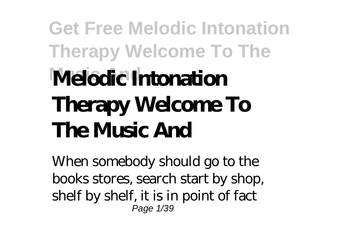# **Get Free Melodic Intonation Therapy Welcome To The Music And Melodic Intonation Therapy Welcome To The Music And**

When somebody should go to the books stores, search start by shop, shelf by shelf, it is in point of fact Page 1/39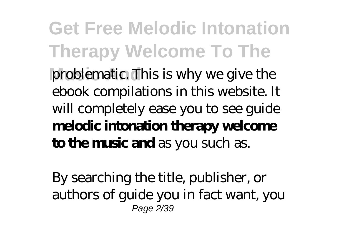#### **Get Free Melodic Intonation Therapy Welcome To The** problematic. This is why we give the ebook compilations in this website. It will completely ease you to see guide **melodic intonation therapy welcome to the music and** as you such as.

By searching the title, publisher, or authors of guide you in fact want, you Page 2/39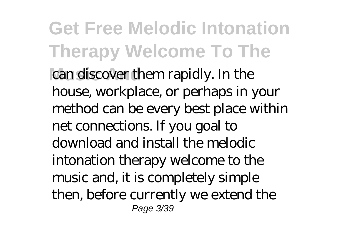**Get Free Melodic Intonation Therapy Welcome To The** can discover them rapidly. In the house, workplace, or perhaps in your method can be every best place within net connections. If you goal to download and install the melodic intonation therapy welcome to the music and, it is completely simple then, before currently we extend the Page 3/39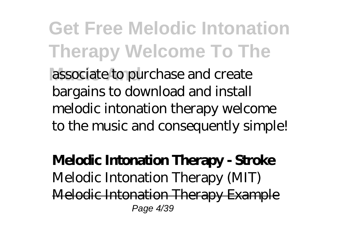**Get Free Melodic Intonation Therapy Welcome To The** associate to purchase and create bargains to download and install melodic intonation therapy welcome to the music and consequently simple!

**Melodic Intonation Therapy - Stroke** Melodic Intonation Therapy (MIT) Melodic Intonation Therapy Example Page 4/39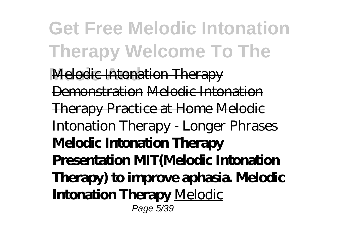**Get Free Melodic Intonation Therapy Welcome To The Melodic Intonation Therapy** Demonstration Melodic Intonation Therapy Practice at Home Melodic Intonation Therapy - Longer Phrases **Melodic Intonation Therapy Presentation MIT(Melodic Intonation Therapy) to improve aphasia. Melodic Intonation Therapy** Melodic Page 5/39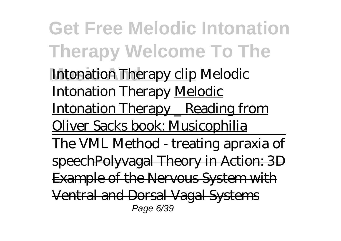**Get Free Melodic Intonation Therapy Welcome To The Intonation Therapy clip Melodic** Intonation Therapy Melodic Intonation Therapy \_ Reading from Oliver Sacks book: Musicophilia The VML Method - treating apraxia of speechPolyvagal Theory in Action: 3D Example of the Nervous System with Ventral and Dorsal Vagal Systems Page 6/39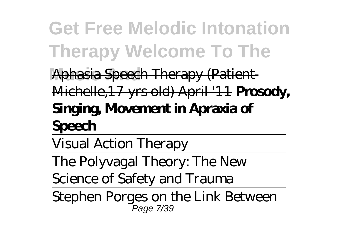## **Get Free Melodic Intonation Therapy Welcome To The**

**Music And** Aphasia Speech Therapy (Patient-Michelle,17 yrs old) April '11 **Prosody,**

#### **Singing, Movement in Apraxia of Speech**

Visual Action Therapy

The Polyvagal Theory: The New

Science of Safety and Trauma

Stephen Porges on the Link Between Page 7/39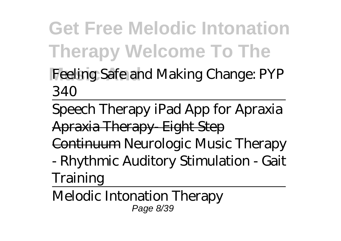**Get Free Melodic Intonation Therapy Welcome To The** Feeling Safe and Making Change: PYP

340

Speech Therapy iPad App for Apraxia Apraxia Therapy- Eight Step Continuum Neurologic Music Therapy - Rhythmic Auditory Stimulation - Gait

Training

Melodic Intonation Therapy Page 8/39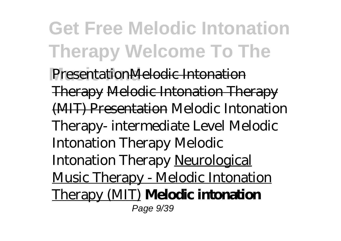**Get Free Melodic Intonation Therapy Welcome To The PresentationMelodic Intonation** Therapy Melodic Intonation Therapy (MIT) Presentation Melodic Intonation Therapy- intermediate Level Melodic Intonation Therapy Melodic Intonation Therapy Neurological Music Therapy - Melodic Intonation Therapy (MIT) **Melodic intonation** Page 9/39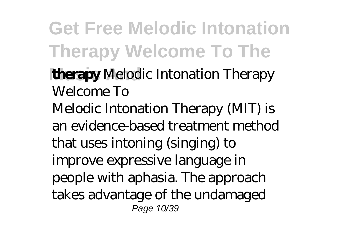**Get Free Melodic Intonation Therapy Welcome To The Music And therapy** *Melodic Intonation Therapy Welcome To* Melodic Intonation Therapy (MIT) is an evidence-based treatment method that uses intoning (singing) to improve expressive language in people with aphasia. The approach takes advantage of the undamaged Page 10/39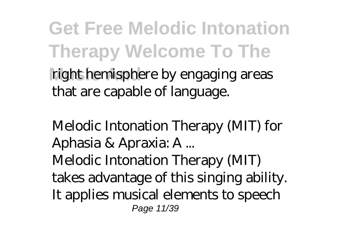**Get Free Melodic Intonation Therapy Welcome To The** right hemisphere by engaging areas that are capable of language.

*Melodic Intonation Therapy (MIT) for Aphasia & Apraxia: A ...* Melodic Intonation Therapy (MIT) takes advantage of this singing ability. It applies musical elements to speech Page 11/39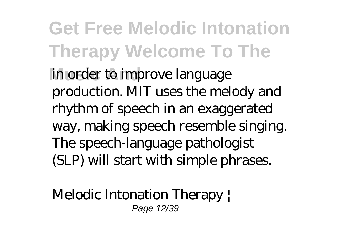**Get Free Melodic Intonation Therapy Welcome To The** in order to improve language production. MIT uses the melody and rhythm of speech in an exaggerated way, making speech resemble singing. The speech-language pathologist (SLP) will start with simple phrases.

*Melodic Intonation Therapy |* Page 12/39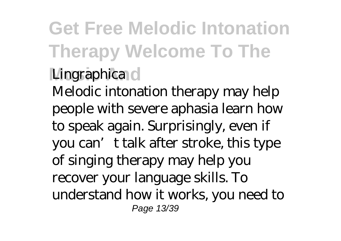**Get Free Melodic Intonation Therapy Welcome To The** *Lingraphica* Melodic intonation therapy may help people with severe aphasia learn how to speak again. Surprisingly, even if you can't talk after stroke, this type of singing therapy may help you recover your language skills. To understand how it works, you need to Page 13/39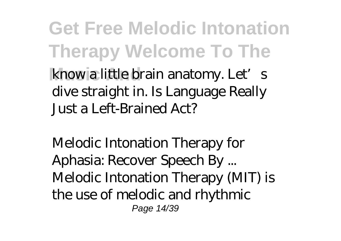**Get Free Melodic Intonation Therapy Welcome To The** know a little brain anatomy. Let's dive straight in. Is Language Really Just a Left-Brained Act?

*Melodic Intonation Therapy for Aphasia: Recover Speech By ...* Melodic Intonation Therapy (MIT) is the use of melodic and rhythmic Page 14/39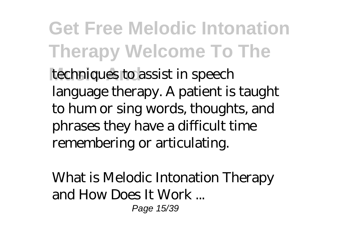**Get Free Melodic Intonation Therapy Welcome To The** techniques to assist in speech language therapy. A patient is taught to hum or sing words, thoughts, and phrases they have a difficult time remembering or articulating.

*What is Melodic Intonation Therapy and How Does It Work ...* Page 15/39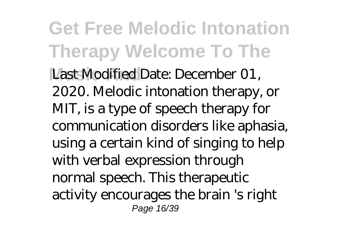**Get Free Melodic Intonation Therapy Welcome To The** Last Modified Date: December 01, 2020. Melodic intonation therapy, or MIT, is a type of speech therapy for communication disorders like aphasia, using a certain kind of singing to help with verbal expression through normal speech. This therapeutic activity encourages the brain 's right Page 16/39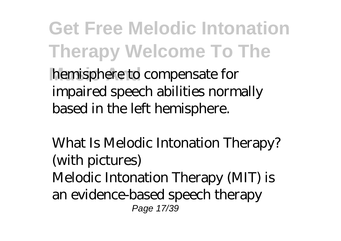**Get Free Melodic Intonation Therapy Welcome To The** hemisphere to compensate for impaired speech abilities normally based in the left hemisphere.

*What Is Melodic Intonation Therapy? (with pictures)* Melodic Intonation Therapy (MIT) is an evidence-based speech therapy Page 17/39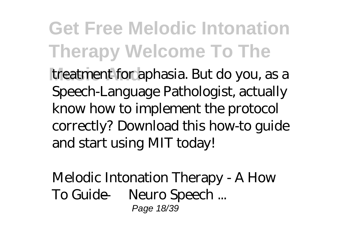**Get Free Melodic Intonation Therapy Welcome To The** treatment for aphasia. But do you, as a Speech-Language Pathologist, actually know how to implement the protocol correctly? Download this how-to guide and start using MIT today!

*Melodic Intonation Therapy - A How To Guide — Neuro Speech ...* Page 18/39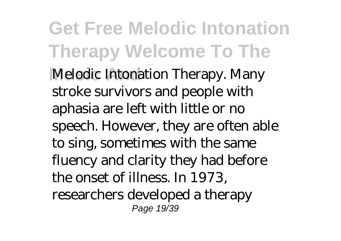**Get Free Melodic Intonation Therapy Welcome To The Melodic Intonation Therapy. Many** stroke survivors and people with aphasia are left with little or no speech. However, they are often able to sing, sometimes with the same fluency and clarity they had before the onset of illness. In 1973, researchers developed a therapy Page 19/39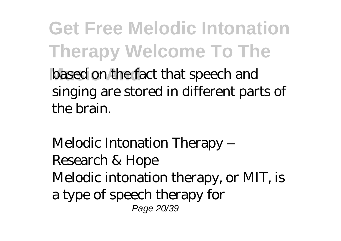**Get Free Melodic Intonation Therapy Welcome To The** based on the fact that speech and singing are stored in different parts of the brain.

*Melodic Intonation Therapy – Research & Hope* Melodic intonation therapy, or MIT, is a type of speech therapy for Page 20/39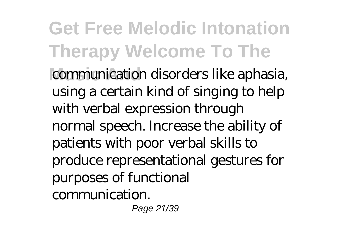**Get Free Melodic Intonation Therapy Welcome To The** communication disorders like aphasia, using a certain kind of singing to help with verbal expression through normal speech. Increase the ability of patients with poor verbal skills to produce representational gestures for purposes of functional communication. Page 21/39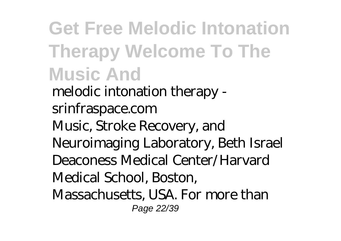**Get Free Melodic Intonation Therapy Welcome To The Music And** *melodic intonation therapy srinfraspace.com* Music, Stroke Recovery, and Neuroimaging Laboratory, Beth Israel Deaconess Medical Center/Harvard Medical School, Boston, Massachusetts, USA. For more than Page 22/39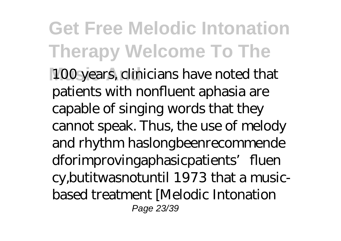**Get Free Melodic Intonation Therapy Welcome To The** 100 years, clinicians have noted that patients with nonfluent aphasia are capable of singing words that they cannot speak. Thus, the use of melody and rhythm haslongbeenrecommende dforimprovingaphasicpatients' fluen cy,butitwasnotuntil 1973 that a musicbased treatment [Melodic Intonation Page 23/39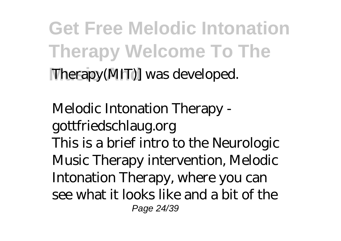**Get Free Melodic Intonation Therapy Welcome To The Therapy(MIT)** was developed.

*Melodic Intonation Therapy gottfriedschlaug.org* This is a brief intro to the Neurologic Music Therapy intervention, Melodic Intonation Therapy, where you can see what it looks like and a bit of the Page 24/39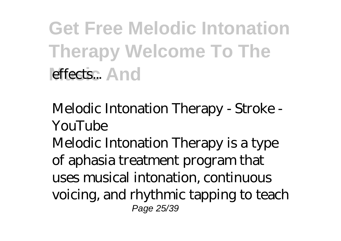**Get Free Melodic Intonation Therapy Welcome To The** effects... And

*Melodic Intonation Therapy - Stroke - YouTube*

Melodic Intonation Therapy is a type of aphasia treatment program that uses musical intonation, continuous voicing, and rhythmic tapping to teach Page 25/39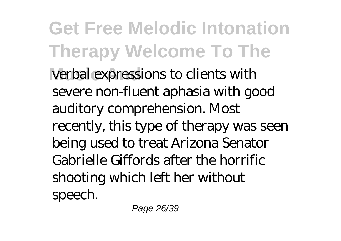**Get Free Melodic Intonation Therapy Welcome To The** verbal expressions to clients with severe non-fluent aphasia with good auditory comprehension. Most recently, this type of therapy was seen being used to treat Arizona Senator Gabrielle Giffords after the horrific shooting which left her without speech.

Page 26/39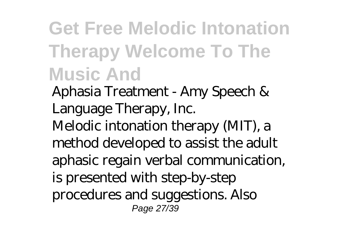### **Get Free Melodic Intonation Therapy Welcome To The Music And**

*Aphasia Treatment - Amy Speech & Language Therapy, Inc.* Melodic intonation therapy (MIT), a method developed to assist the adult aphasic regain verbal communication, is presented with step-by-step procedures and suggestions. Also Page 27/39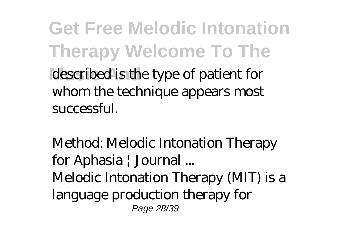**Get Free Melodic Intonation Therapy Welcome To The** described is the type of patient for whom the technique appears most successful.

*Method: Melodic Intonation Therapy for Aphasia | Journal ...* Melodic Intonation Therapy (MIT) is a language production therapy for Page 28/39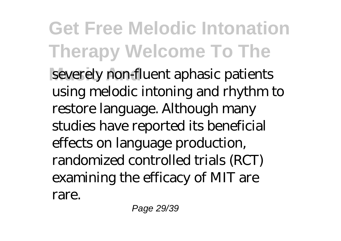**Get Free Melodic Intonation Therapy Welcome To The** severely non-fluent aphasic patients using melodic intoning and rhythm to restore language. Although many studies have reported its beneficial effects on language production, randomized controlled trials (RCT) examining the efficacy of MIT are rare.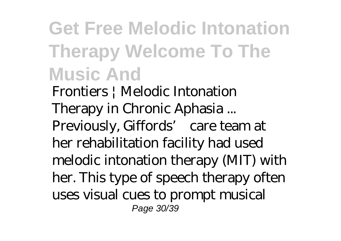### **Get Free Melodic Intonation Therapy Welcome To The Music And**

*Frontiers | Melodic Intonation Therapy in Chronic Aphasia ...* Previously, Giffords' care team at her rehabilitation facility had used melodic intonation therapy (MIT) with her. This type of speech therapy often uses visual cues to prompt musical Page 30/39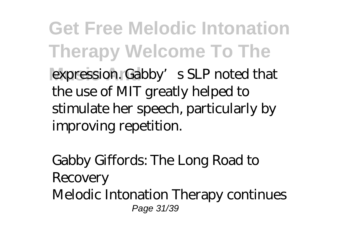**Get Free Melodic Intonation Therapy Welcome To The** expression. Gabby's SLP noted that the use of MIT greatly helped to stimulate her speech, particularly by improving repetition.

*Gabby Giffords: The Long Road to Recovery* Melodic Intonation Therapy continues Page 31/39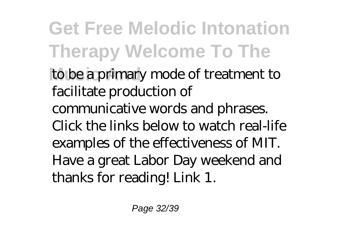**Get Free Melodic Intonation Therapy Welcome To The Music And** to be a primary mode of treatment to facilitate production of communicative words and phrases. Click the links below to watch real-life examples of the effectiveness of MIT. Have a great Labor Day weekend and thanks for reading! Link 1.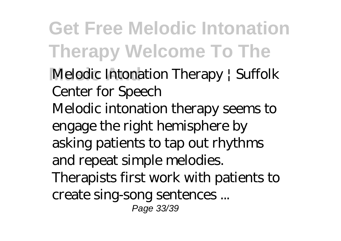**Get Free Melodic Intonation Therapy Welcome To The Melodic Intonation Therapy / Suffolk** *Center for Speech* Melodic intonation therapy seems to engage the right hemisphere by asking patients to tap out rhythms and repeat simple melodies. Therapists first work with patients to create sing-song sentences ... Page 33/39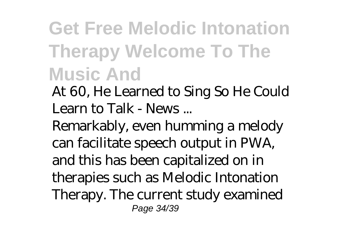### **Get Free Melodic Intonation Therapy Welcome To The Music And**

*At 60, He Learned to Sing So He Could Learn to Talk - News ...*

Remarkably, even humming a melody can facilitate speech output in PWA, and this has been capitalized on in therapies such as Melodic Intonation Therapy. The current study examined Page 34/39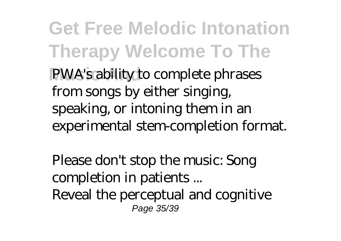**Get Free Melodic Intonation Therapy Welcome To The** PWA's ability to complete phrases from songs by either singing, speaking, or intoning them in an experimental stem-completion format.

*Please don't stop the music: Song completion in patients ...* Reveal the perceptual and cognitive Page 35/39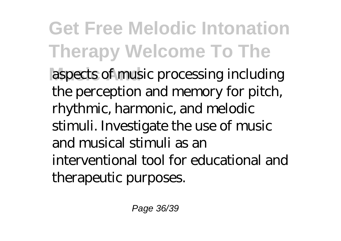**Get Free Melodic Intonation Therapy Welcome To The** aspects of music processing including the perception and memory for pitch, rhythmic, harmonic, and melodic stimuli. Investigate the use of music and musical stimuli as an interventional tool for educational and therapeutic purposes.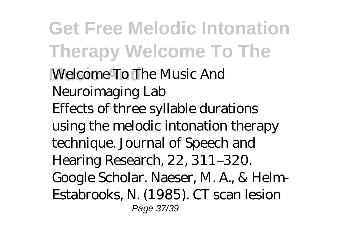**Get Free Melodic Intonation Therapy Welcome To The Music And** *Welcome To The Music And Neuroimaging Lab* Effects of three syllable durations using the melodic intonation therapy technique. Journal of Speech and Hearing Research, 22, 311–320. Google Scholar. Naeser, M. A., & Helm-Estabrooks, N. (1985). CT scan lesion Page 37/39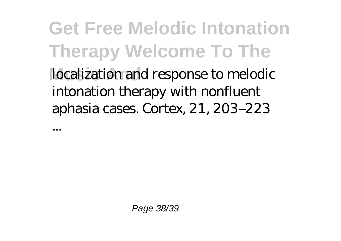**Get Free Melodic Intonation Therapy Welcome To The** localization and response to melodic intonation therapy with nonfluent aphasia cases. Cortex, 21, 203–223

...

Page 38/39